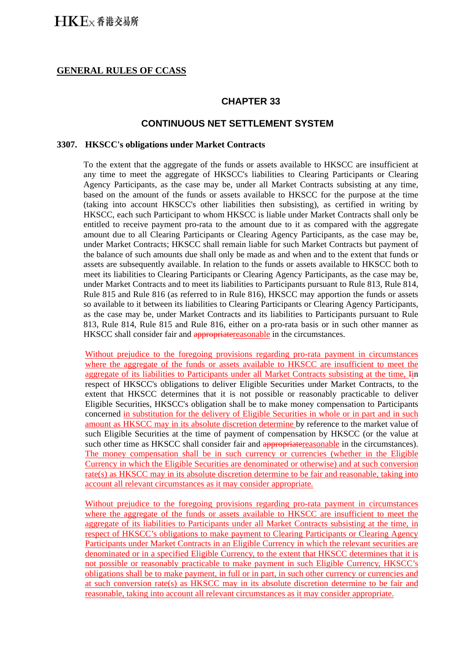### **GENERAL RULES OF CCASS**

## **CHAPTER 33**

### **CONTINUOUS NET SETTLEMENT SYSTEM**

#### **3307. HKSCC's obligations under Market Contracts**

To the extent that the aggregate of the funds or assets available to HKSCC are insufficient at any time to meet the aggregate of HKSCC's liabilities to Clearing Participants or Clearing Agency Participants, as the case may be, under all Market Contracts subsisting at any time, based on the amount of the funds or assets available to HKSCC for the purpose at the time (taking into account HKSCC's other liabilities then subsisting), as certified in writing by HKSCC, each such Participant to whom HKSCC is liable under Market Contracts shall only be entitled to receive payment pro-rata to the amount due to it as compared with the aggregate amount due to all Clearing Participants or Clearing Agency Participants, as the case may be, under Market Contracts; HKSCC shall remain liable for such Market Contracts but payment of the balance of such amounts due shall only be made as and when and to the extent that funds or assets are subsequently available. In relation to the funds or assets available to HKSCC both to meet its liabilities to Clearing Participants or Clearing Agency Participants, as the case may be, under Market Contracts and to meet its liabilities to Participants pursuant to Rule 813, Rule 814, Rule 815 and Rule 816 (as referred to in Rule 816), HKSCC may apportion the funds or assets so available to it between its liabilities to Clearing Participants or Clearing Agency Participants, as the case may be, under Market Contracts and its liabilities to Participants pursuant to Rule 813, Rule 814, Rule 815 and Rule 816, either on a pro-rata basis or in such other manner as HKSCC shall consider fair and appropriate reasonable in the circumstances.

Without prejudice to the foregoing provisions regarding pro-rata payment in circumstances where the aggregate of the funds or assets available to HKSCC are insufficient to meet the aggregate of its liabilities to Participants under all Market Contracts subsisting at the time, Iin respect of HKSCC's obligations to deliver Eligible Securities under Market Contracts, to the extent that HKSCC determines that it is not possible or reasonably practicable to deliver Eligible Securities, HKSCC's obligation shall be to make money compensation to Participants concerned in substitution for the delivery of Eligible Securities in whole or in part and in such amount as HKSCC may in its absolute discretion determine by reference to the market value of such Eligible Securities at the time of payment of compensation by HKSCC (or the value at such other time as HKSCC shall consider fair and appropriate reasonable in the circumstances). The money compensation shall be in such currency or currencies (whether in the Eligible Currency in which the Eligible Securities are denominated or otherwise) and at such conversion rate(s) as HKSCC may in its absolute discretion determine to be fair and reasonable, taking into account all relevant circumstances as it may consider appropriate.

Without prejudice to the foregoing provisions regarding pro-rata payment in circumstances where the aggregate of the funds or assets available to HKSCC are insufficient to meet the aggregate of its liabilities to Participants under all Market Contracts subsisting at the time, in respect of HKSCC's obligations to make payment to Clearing Participants or Clearing Agency Participants under Market Contracts in an Eligible Currency in which the relevant securities are denominated or in a specified Eligible Currency, to the extent that HKSCC determines that it is not possible or reasonably practicable to make payment in such Eligible Currency, HKSCC's obligations shall be to make payment, in full or in part, in such other currency or currencies and at such conversion rate(s) as HKSCC may in its absolute discretion determine to be fair and reasonable, taking into account all relevant circumstances as it may consider appropriate.